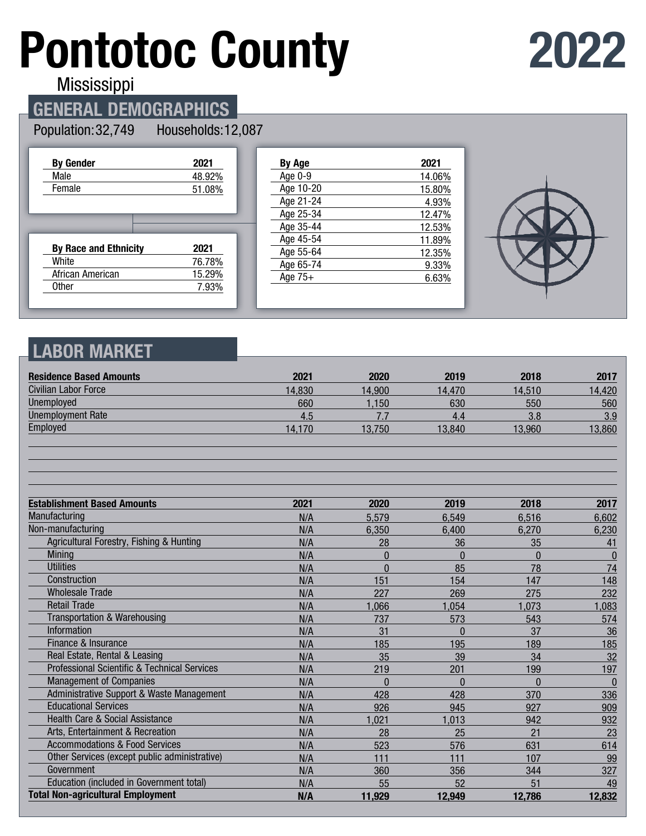# **Pontotoc County**

## **2022**

**Mississippi** 

#### **GENERAL DEMOGRAPHICS**

#### Population: 32,749 Households: 12,087

| <b>By Gender</b>             | 2021   |
|------------------------------|--------|
| Male                         | 48.92% |
| Female                       | 51.08% |
|                              |        |
|                              |        |
| <b>By Race and Ethnicity</b> | 2021   |
| White                        | 76.78% |
| African American             | 15.29% |

| By Age    | 2021   |
|-----------|--------|
| Age 0-9   | 14.06% |
| Age 10-20 | 15.80% |
| Age 21-24 | 4.93%  |
| Age 25-34 | 12.47% |
| Age 35-44 | 12.53% |
| Age 45-54 | 11.89% |
| Age 55-64 | 12.35% |
| Age 65-74 | 9.33%  |
| Age $75+$ | 6.63%  |
|           |        |



#### **LABOR MARKET**

| <b>Residence Based Amounts</b>                          | 2021   | 2020           | 2019     | 2018         | 2017             |
|---------------------------------------------------------|--------|----------------|----------|--------------|------------------|
| Civilian Labor Force                                    | 14,830 | 14,900         | 14,470   | 14,510       | 14,420           |
| <b>Unemployed</b>                                       | 660    | 1,150          | 630      | 550          | 560              |
| <b>Unemployment Rate</b>                                | 4.5    | 7.7            | 4.4      | 3.8          | 3.9              |
| Employed                                                | 14,170 | 13,750         | 13,840   | 13,960       | 13,860           |
|                                                         |        |                |          |              |                  |
| <b>Establishment Based Amounts</b>                      | 2021   | 2020           | 2019     | 2018         | 2017             |
| Manufacturing                                           | N/A    | 5,579          | 6,549    | 6,516        | 6,602            |
| Non-manufacturing                                       | N/A    | 6,350          | 6,400    | 6,270        | 6,230            |
| Agricultural Forestry, Fishing & Hunting                | N/A    | 28             | 36       | 35           | 41               |
| <b>Mining</b>                                           | N/A    | $\overline{0}$ | $\Omega$ | $\mathbf{0}$ | $\bf{0}$         |
| <b>Utilities</b>                                        | N/A    | $\Omega$       | 85       | 78           | 74               |
| Construction                                            | N/A    | 151            | 154      | 147          | 148              |
| <b>Wholesale Trade</b>                                  | N/A    | 227            | 269      | 275          | 232              |
| <b>Retail Trade</b>                                     | N/A    | 1,066          | 1,054    | 1,073        | 1,083            |
| Transportation & Warehousing                            | N/A    | 737            | 573      | 543          | 574              |
| Information                                             | N/A    | 31             | $\Omega$ | 37           | 36               |
| Finance & Insurance                                     | N/A    | 185            | 195      | 189          | 185              |
| Real Estate, Rental & Leasing                           | N/A    | 35             | 39       | 34           | 32               |
| <b>Professional Scientific &amp; Technical Services</b> | N/A    | 219            | 201      | 199          | 197              |
| <b>Management of Companies</b>                          | N/A    | $\Omega$       | $\Omega$ | $\Omega$     | $\boldsymbol{0}$ |
| Administrative Support & Waste Management               | N/A    | 428            | 428      | 370          | 336              |
| <b>Educational Services</b>                             | N/A    | 926            | 945      | 927          | 909              |
| <b>Health Care &amp; Social Assistance</b>              | N/A    | 1,021          | 1,013    | 942          | 932              |
| Arts, Entertainment & Recreation                        | N/A    | 28             | 25       | 21           | 23               |
| <b>Accommodations &amp; Food Services</b>               | N/A    | 523            | 576      | 631          | 614              |
| Other Services (except public administrative)           | N/A    | 111            | 111      | 107          | 99               |
| Government                                              | N/A    | 360            | 356      | 344          | 327              |
| Education (included in Government total)                | N/A    | 55             | 52       | 51           | 49               |
| <b>Total Non-agricultural Employment</b>                | N/A    | 11,929         | 12,949   | 12,786       | 12,832           |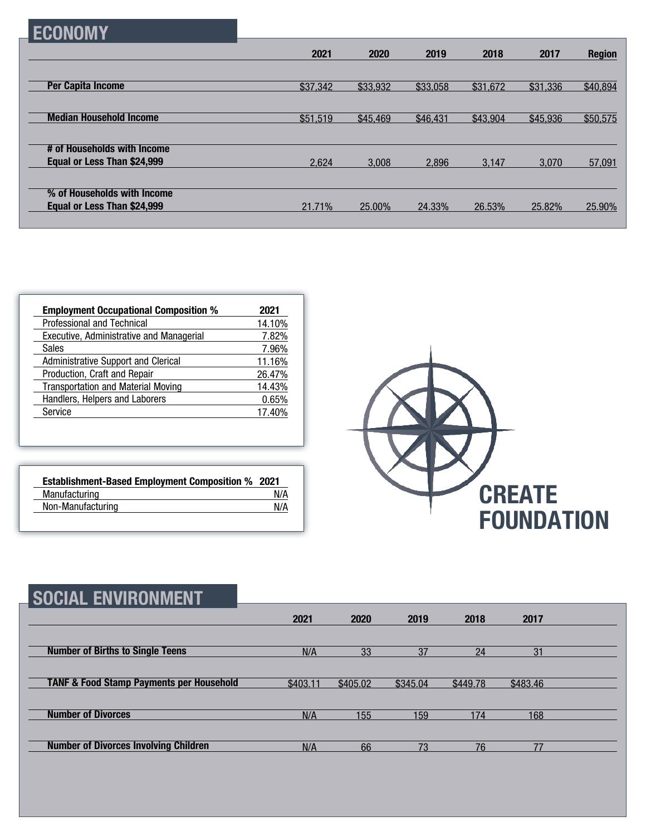|  |  | CONON: |  |
|--|--|--------|--|
|--|--|--------|--|

|                                | 2021     | 2020     | 2019     | 2018     | 2017     | <b>Region</b> |
|--------------------------------|----------|----------|----------|----------|----------|---------------|
|                                |          |          |          |          |          |               |
| <b>Per Capita Income</b>       | \$37,342 | \$33,932 | \$33,058 | \$31,672 | \$31,336 | \$40,894      |
|                                |          |          |          |          |          |               |
| <b>Median Household Income</b> | \$51,519 | \$45,469 | \$46,431 | \$43,904 | \$45,936 | \$50,575      |
| # of Households with Income    |          |          |          |          |          |               |
| Equal or Less Than \$24,999    | 2,624    | 3.008    | 2.896    | 3.147    | 3.070    | 57,091        |
|                                |          |          |          |          |          |               |
| % of Households with Income    |          |          |          |          |          |               |
| Equal or Less Than \$24,999    | 21.71%   | 25.00%   | 24.33%   | 26.53%   | 25.82%   | 25.90%        |
|                                |          |          |          |          |          |               |

| <b>Employment Occupational Composition %</b> | 2021   |
|----------------------------------------------|--------|
| Professional and Technical                   | 14.10% |
| Executive, Administrative and Managerial     | 7.82%  |
| <b>Sales</b>                                 | 7.96%  |
| <b>Administrative Support and Clerical</b>   | 11.16% |
| Production, Craft and Repair                 | 26.47% |
| <b>Transportation and Material Moving</b>    | 14.43% |
| Handlers, Helpers and Laborers               | 0.65%  |
| Service                                      | 17.40% |

| <b>Establishment-Based Employment Composition % 2021</b> |     |
|----------------------------------------------------------|-----|
| Manufacturing                                            | N/A |
| Non-Manufacturing                                        | N/A |



| SOCIAL ENVIRONMENT                                  |          |          |          |          |          |  |
|-----------------------------------------------------|----------|----------|----------|----------|----------|--|
|                                                     | 2021     | 2020     | 2019     | 2018     | 2017     |  |
| <b>Number of Births to Single Teens</b>             | N/A      | 33       | 37       | 24       | 31       |  |
| <b>TANF &amp; Food Stamp Payments per Household</b> | \$403.11 | \$405.02 | \$345.04 | \$449.78 | \$483.46 |  |
| <b>Number of Divorces</b>                           | N/A      | 155      | 159      | 174      | 168      |  |
| <b>Number of Divorces Involving Children</b>        | N/A      | 66       | 73       | 76       | 77       |  |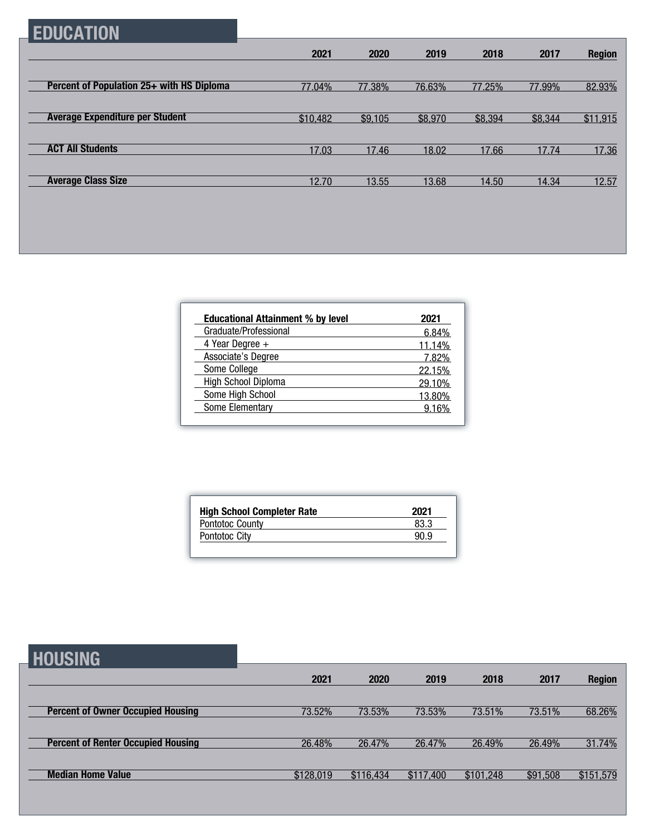### **EDUCATION**

|                                           | 2021     | 2020    | 2019    | 2018    | 2017    | <b>Region</b> |
|-------------------------------------------|----------|---------|---------|---------|---------|---------------|
|                                           |          |         |         |         |         |               |
| Percent of Population 25+ with HS Diploma | 77.04%   | 77.38%  | 76.63%  | 77.25%  | 77.99%  | 82.93%        |
|                                           |          |         |         |         |         |               |
| <b>Average Expenditure per Student</b>    | \$10,482 | \$9,105 | \$8,970 | \$8,394 | \$8,344 | \$11,915      |
|                                           |          |         |         |         |         |               |
| <b>ACT All Students</b>                   | 17.03    | 17.46   | 18.02   | 17.66   | 17.74   | 17.36         |
|                                           |          |         |         |         |         |               |
| <b>Average Class Size</b>                 | 12.70    | 13.55   | 13.68   | 14.50   | 14.34   | 12.57         |

| <b>Educational Attainment % by level</b> | 2021   |
|------------------------------------------|--------|
| Graduate/Professional                    | 6.84%  |
| 4 Year Degree $+$                        | 11.14% |
| Associate's Degree                       | 7.82%  |
| Some College                             | 22.15% |
| High School Diploma                      | 29.10% |
| Some High School                         | 13.80% |
| Some Elementary                          | 9.16%  |

| <b>High School Completer Rate</b> | 2021 |
|-----------------------------------|------|
| Pontotoc County                   | 83.3 |
| <b>Pontotoc City</b>              | 90 Q |

#### **HOUSING**

| ---------                                 |           |           |           |           |          |               |
|-------------------------------------------|-----------|-----------|-----------|-----------|----------|---------------|
|                                           | 2021      | 2020      | 2019      | 2018      | 2017     | <b>Region</b> |
|                                           |           |           |           |           |          |               |
| <b>Percent of Owner Occupied Housing</b>  | 73.52%    | 73.53%    | 73.53%    | 73.51%    | 73.51%   | 68.26%        |
|                                           |           |           |           |           |          |               |
| <b>Percent of Renter Occupied Housing</b> | 26.48%    | 26.47%    | 26.47%    | 26.49%    | 26.49%   | 31.74%        |
|                                           |           |           |           |           |          |               |
| <b>Median Home Value</b>                  | \$128,019 | \$116,434 | \$117,400 | \$101,248 | \$91,508 | \$151,579     |
|                                           |           |           |           |           |          |               |